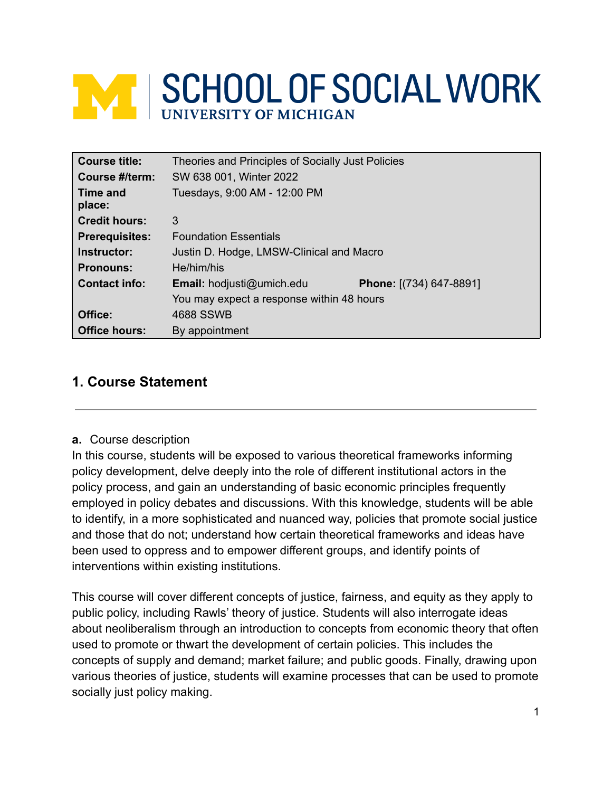# **WEISCHOOL OF SOCIAL WORK** UNIVERSITY OF MICHIGAN

| Course title:         | Theories and Principles of Socially Just Policies |                         |
|-----------------------|---------------------------------------------------|-------------------------|
| Course #/term:        | SW 638 001, Winter 2022                           |                         |
| Time and<br>place:    | Tuesdays, 9:00 AM - 12:00 PM                      |                         |
| <b>Credit hours:</b>  | 3                                                 |                         |
| <b>Prerequisites:</b> | <b>Foundation Essentials</b>                      |                         |
| Instructor:           | Justin D. Hodge, LMSW-Clinical and Macro          |                         |
| <b>Pronouns:</b>      | He/him/his                                        |                         |
| <b>Contact info:</b>  | Email: hodjusti@umich.edu                         | Phone: [(734) 647-8891] |
|                       | You may expect a response within 48 hours         |                         |
| Office:               | 4688 SSWB                                         |                         |
| <b>Office hours:</b>  | By appointment                                    |                         |

# **1. Course Statement**

## **a.** Course description

In this course, students will be exposed to various theoretical frameworks informing policy development, delve deeply into the role of different institutional actors in the policy process, and gain an understanding of basic economic principles frequently employed in policy debates and discussions. With this knowledge, students will be able to identify, in a more sophisticated and nuanced way, policies that promote social justice and those that do not; understand how certain theoretical frameworks and ideas have been used to oppress and to empower different groups, and identify points of interventions within existing institutions.

This course will cover different concepts of justice, fairness, and equity as they apply to public policy, including Rawls' theory of justice. Students will also interrogate ideas about neoliberalism through an introduction to concepts from economic theory that often used to promote or thwart the development of certain policies. This includes the concepts of supply and demand; market failure; and public goods. Finally, drawing upon various theories of justice, students will examine processes that can be used to promote socially just policy making.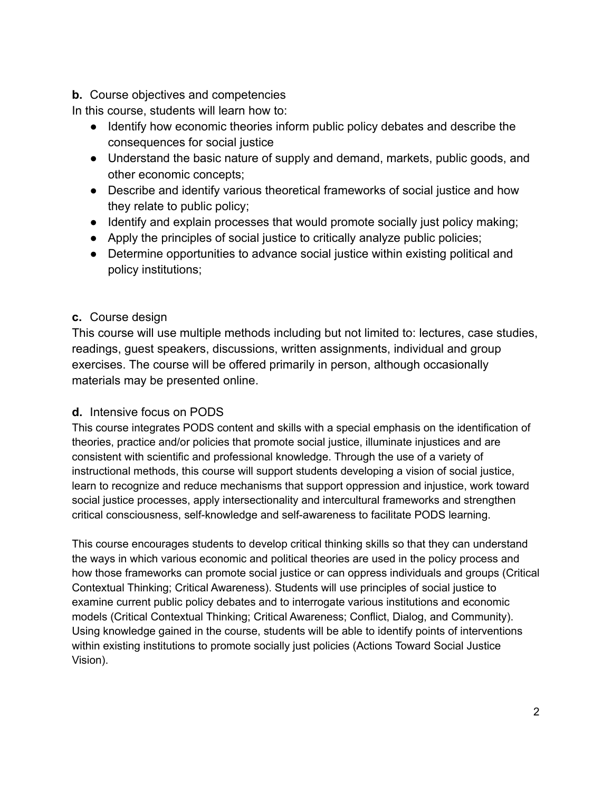## **b.** Course objectives and competencies

In this course, students will learn how to:

- Identify how economic theories inform public policy debates and describe the consequences for social justice
- Understand the basic nature of supply and demand, markets, public goods, and other economic concepts;
- Describe and identify various theoretical frameworks of social justice and how they relate to public policy;
- Identify and explain processes that would promote socially just policy making;
- Apply the principles of social justice to critically analyze public policies;
- Determine opportunities to advance social justice within existing political and policy institutions;

# **c.** Course design

This course will use multiple methods including but not limited to: lectures, case studies, readings, guest speakers, discussions, written assignments, individual and group exercises. The course will be offered primarily in person, although occasionally materials may be presented online.

# **d.** Intensive focus on PODS

This course integrates PODS content and skills with a special emphasis on the identification of theories, practice and/or policies that promote social justice, illuminate injustices and are consistent with scientific and professional knowledge. Through the use of a variety of instructional methods, this course will support students developing a vision of social justice, learn to recognize and reduce mechanisms that support oppression and injustice, work toward social justice processes, apply intersectionality and intercultural frameworks and strengthen critical consciousness, self-knowledge and self-awareness to facilitate PODS learning.

This course encourages students to develop critical thinking skills so that they can understand the ways in which various economic and political theories are used in the policy process and how those frameworks can promote social justice or can oppress individuals and groups (Critical Contextual Thinking; Critical Awareness). Students will use principles of social justice to examine current public policy debates and to interrogate various institutions and economic models (Critical Contextual Thinking; Critical Awareness; Conflict, Dialog, and Community). Using knowledge gained in the course, students will be able to identify points of interventions within existing institutions to promote socially just policies (Actions Toward Social Justice Vision).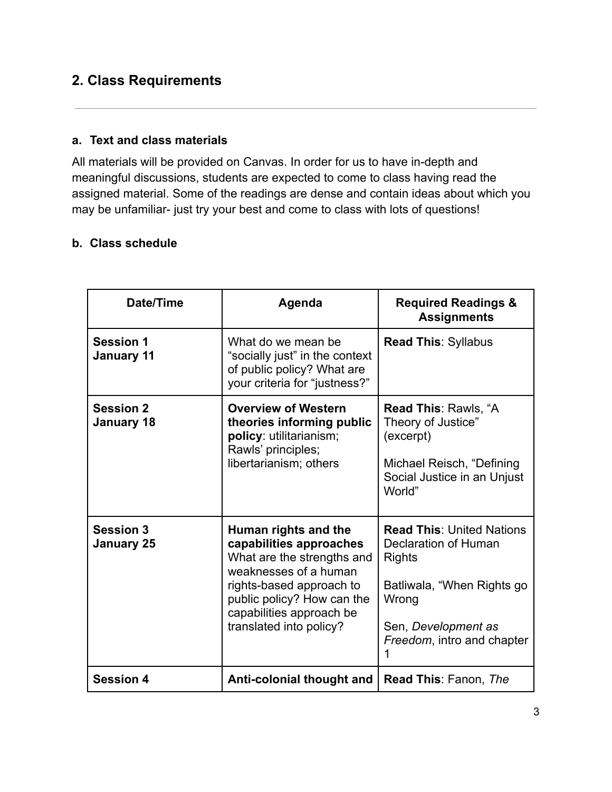# **2. Class Requirements**

## **a. Text and class materials**

All materials will be provided on Canvas. In order for us to have in-depth and meaningful discussions, students are expected to come to class having read the assigned material. Some of the readings are dense and contain ideas about which you may be unfamiliar- just try your best and come to class with lots of questions!

#### **b. Class schedule**

| Date/Time                             | Agenda                                                                                                                                                                                                                  | <b>Required Readings &amp;</b><br><b>Assignments</b>                                                                                                                       |
|---------------------------------------|-------------------------------------------------------------------------------------------------------------------------------------------------------------------------------------------------------------------------|----------------------------------------------------------------------------------------------------------------------------------------------------------------------------|
| <b>Session 1</b><br><b>January 11</b> | What do we mean be<br>"socially just" in the context<br>of public policy? What are<br>your criteria for "justness?"                                                                                                     | <b>Read This: Syllabus</b>                                                                                                                                                 |
| <b>Session 2</b><br>January 18        | <b>Overview of Western</b><br>theories informing public<br>policy: utilitarianism;<br>Rawls' principles;<br>libertarianism; others                                                                                      | <b>Read This: Rawls, "A</b><br>Theory of Justice"<br>(excerpt)<br>Michael Reisch, "Defining<br>Social Justice in an Unjust<br>World"                                       |
| <b>Session 3</b><br><b>January 25</b> | Human rights and the<br>capabilities approaches<br>What are the strengths and<br>weaknesses of a human<br>rights-based approach to<br>public policy? How can the<br>capabilities approach be<br>translated into policy? | <b>Read This: United Nations</b><br>Declaration of Human<br><b>Rights</b><br>Batliwala, "When Rights go<br>Wrong<br>Sen, Development as<br>Freedom, intro and chapter<br>1 |
| <b>Session 4</b>                      | Anti-colonial thought and                                                                                                                                                                                               | <b>Read This: Fanon, The</b>                                                                                                                                               |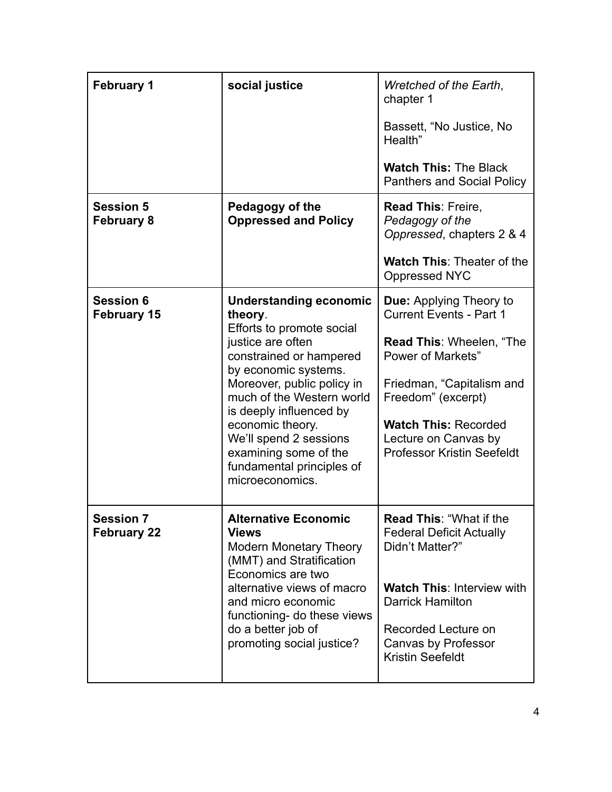| <b>February 1</b>                      | social justice                                                                                                                                                                                                                                                                                                                                             | Wretched of the Earth,<br>chapter 1<br>Bassett, "No Justice, No<br>Health"<br><b>Watch This: The Black</b><br><b>Panthers and Social Policy</b>                                                                                                                                |
|----------------------------------------|------------------------------------------------------------------------------------------------------------------------------------------------------------------------------------------------------------------------------------------------------------------------------------------------------------------------------------------------------------|--------------------------------------------------------------------------------------------------------------------------------------------------------------------------------------------------------------------------------------------------------------------------------|
| <b>Session 5</b><br><b>February 8</b>  | Pedagogy of the<br><b>Oppressed and Policy</b>                                                                                                                                                                                                                                                                                                             | <b>Read This: Freire,</b><br>Pedagogy of the<br>Oppressed, chapters 2 & 4<br><b>Watch This: Theater of the</b><br><b>Oppressed NYC</b>                                                                                                                                         |
| <b>Session 6</b><br><b>February 15</b> | <b>Understanding economic</b><br>theory.<br>Efforts to promote social<br>justice are often<br>constrained or hampered<br>by economic systems.<br>Moreover, public policy in<br>much of the Western world<br>is deeply influenced by<br>economic theory.<br>We'll spend 2 sessions<br>examining some of the<br>fundamental principles of<br>microeconomics. | <b>Due:</b> Applying Theory to<br><b>Current Events - Part 1</b><br><b>Read This: Wheelen, "The</b><br><b>Power of Markets"</b><br>Friedman, "Capitalism and<br>Freedom" (excerpt)<br><b>Watch This: Recorded</b><br>Lecture on Canvas by<br><b>Professor Kristin Seefeldt</b> |
| <b>Session 7</b><br><b>February 22</b> | <b>Alternative Economic</b><br><b>Views</b><br><b>Modern Monetary Theory</b><br>(MMT) and Stratification<br>Economics are two<br>alternative views of macro<br>and micro economic<br>functioning- do these views<br>do a better job of<br>promoting social justice?                                                                                        | <b>Read This: "What if the</b><br><b>Federal Deficit Actually</b><br>Didn't Matter?"<br><b>Watch This: Interview with</b><br><b>Darrick Hamilton</b><br>Recorded Lecture on<br>Canvas by Professor<br><b>Kristin Seefeldt</b>                                                  |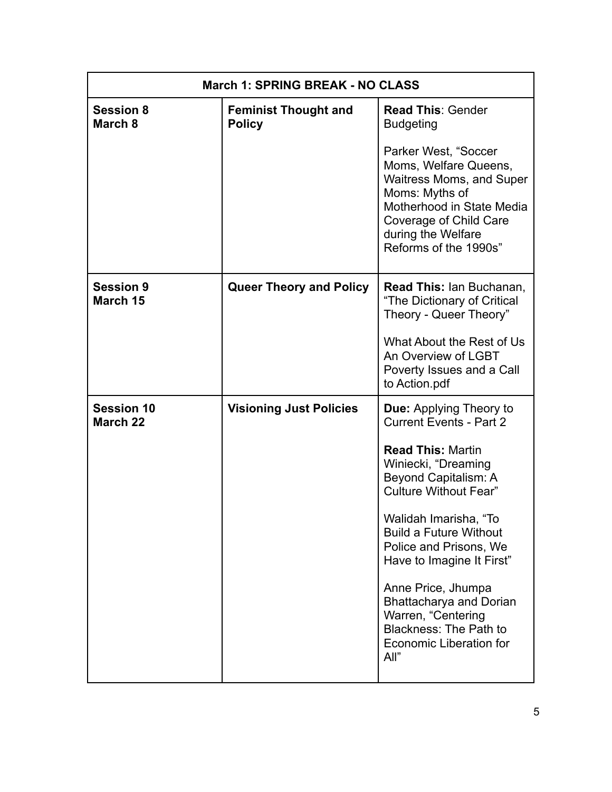| <b>March 1: SPRING BREAK - NO CLASS</b> |                                              |                                                                                                                                                                                                          |
|-----------------------------------------|----------------------------------------------|----------------------------------------------------------------------------------------------------------------------------------------------------------------------------------------------------------|
| <b>Session 8</b><br>March 8             | <b>Feminist Thought and</b><br><b>Policy</b> | <b>Read This: Gender</b><br><b>Budgeting</b>                                                                                                                                                             |
|                                         |                                              | Parker West, "Soccer<br>Moms, Welfare Queens,<br><b>Waitress Moms, and Super</b><br>Moms: Myths of<br>Motherhood in State Media<br>Coverage of Child Care<br>during the Welfare<br>Reforms of the 1990s" |
| <b>Session 9</b><br>March 15            | <b>Queer Theory and Policy</b>               | <b>Read This: Ian Buchanan,</b><br>"The Dictionary of Critical<br>Theory - Queer Theory"                                                                                                                 |
|                                         |                                              | What About the Rest of Us<br>An Overview of LGBT<br>Poverty Issues and a Call<br>to Action.pdf                                                                                                           |
| <b>Session 10</b><br><b>March 22</b>    | <b>Visioning Just Policies</b>               | Due: Applying Theory to<br><b>Current Events - Part 2</b>                                                                                                                                                |
|                                         |                                              | <b>Read This: Martin</b><br>Winiecki, "Dreaming<br>Beyond Capitalism: A<br><b>Culture Without Fear"</b>                                                                                                  |
|                                         |                                              | Walidah Imarisha, "To<br><b>Build a Future Without</b><br>Police and Prisons, We<br>Have to Imagine It First"                                                                                            |
|                                         |                                              | Anne Price, Jhumpa<br><b>Bhattacharya and Dorian</b><br>Warren, "Centering<br>Blackness: The Path to<br><b>Economic Liberation for</b><br>All"                                                           |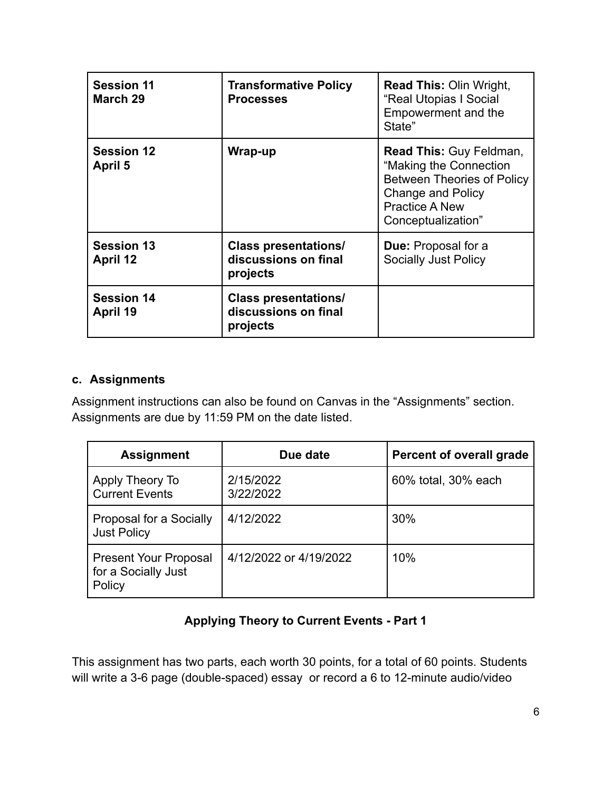| <b>Session 11</b><br>March 29 | <b>Transformative Policy</b><br><b>Processes</b>                | <b>Read This: Olin Wright,</b><br>"Real Utopias I Social<br>Empowerment and the<br>State"                                                                                |
|-------------------------------|-----------------------------------------------------------------|--------------------------------------------------------------------------------------------------------------------------------------------------------------------------|
| <b>Session 12</b><br>April 5  | Wrap-up                                                         | <b>Read This: Guy Feldman,</b><br>"Making the Connection<br><b>Between Theories of Policy</b><br><b>Change and Policy</b><br><b>Practice A New</b><br>Conceptualization" |
| <b>Session 13</b><br>April 12 | <b>Class presentations/</b><br>discussions on final<br>projects | <b>Due:</b> Proposal for a<br><b>Socially Just Policy</b>                                                                                                                |
| <b>Session 14</b><br>April 19 | <b>Class presentations/</b><br>discussions on final<br>projects |                                                                                                                                                                          |

## **c. Assignments**

Assignment instructions can also be found on Canvas in the "Assignments" section. Assignments are due by 11:59 PM on the date listed.

| <b>Assignment</b>                                             | Due date               | <b>Percent of overall grade</b> |
|---------------------------------------------------------------|------------------------|---------------------------------|
| Apply Theory To<br><b>Current Events</b>                      | 2/15/2022<br>3/22/2022 | 60% total, 30% each             |
| Proposal for a Socially<br><b>Just Policy</b>                 | 4/12/2022              | 30%                             |
| <b>Present Your Proposal</b><br>for a Socially Just<br>Policy | 4/12/2022 or 4/19/2022 | 10%                             |

# **Applying Theory to Current Events - Part 1**

This assignment has two parts, each worth 30 points, for a total of 60 points. Students will write a 3-6 page (double-spaced) essay or record a 6 to 12-minute audio/video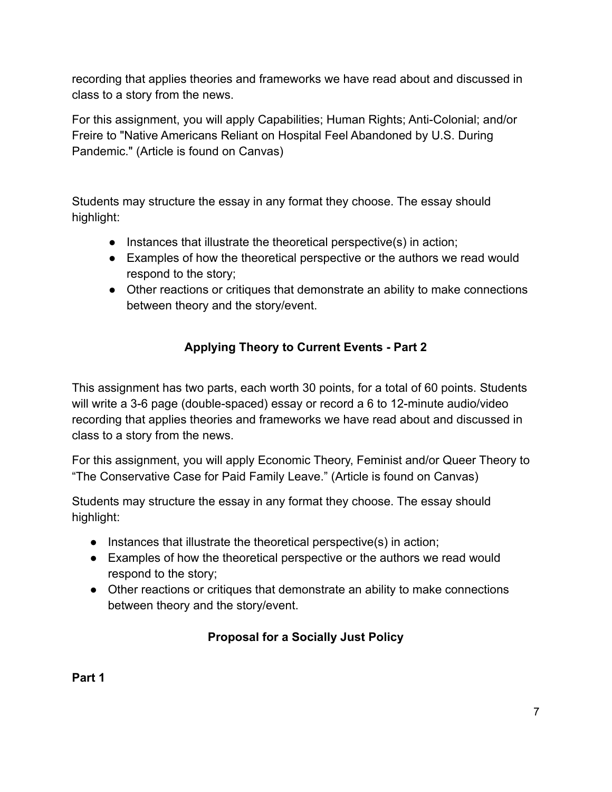recording that applies theories and frameworks we have read about and discussed in class to a story from the news.

For this assignment, you will apply Capabilities; Human Rights; Anti-Colonial; and/or Freire to "Native Americans Reliant on Hospital Feel Abandoned by U.S. During Pandemic." (Article is found on Canvas)

Students may structure the essay in any format they choose. The essay should highlight:

- Instances that illustrate the theoretical perspective(s) in action;
- Examples of how the theoretical perspective or the authors we read would respond to the story;
- Other reactions or critiques that demonstrate an ability to make connections between theory and the story/event.

# **Applying Theory to Current Events - Part 2**

This assignment has two parts, each worth 30 points, for a total of 60 points. Students will write a 3-6 page (double-spaced) essay or record a 6 to 12-minute audio/video recording that applies theories and frameworks we have read about and discussed in class to a story from the news.

For this assignment, you will apply Economic Theory, Feminist and/or Queer Theory to "The Conservative Case for Paid Family Leave." (Article is found on Canvas)

Students may structure the essay in any format they choose. The essay should highlight:

- Instances that illustrate the theoretical perspective(s) in action;
- Examples of how the theoretical perspective or the authors we read would respond to the story;
- Other reactions or critiques that demonstrate an ability to make connections between theory and the story/event.

# **Proposal for a Socially Just Policy**

**Part 1**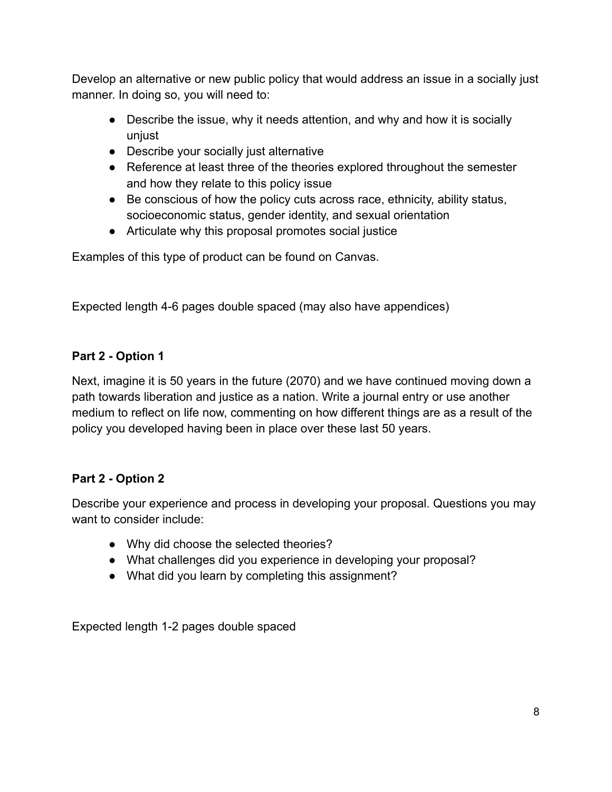Develop an alternative or new public policy that would address an issue in a socially just manner. In doing so, you will need to:

- Describe the issue, why it needs attention, and why and how it is socially unjust
- Describe your socially just alternative
- Reference at least three of the theories explored throughout the semester and how they relate to this policy issue
- Be conscious of how the policy cuts across race, ethnicity, ability status, socioeconomic status, gender identity, and sexual orientation
- Articulate why this proposal promotes social justice

Examples of this type of product can be found on Canvas.

Expected length 4-6 pages double spaced (may also have appendices)

## **Part 2 - Option 1**

Next, imagine it is 50 years in the future (2070) and we have continued moving down a path towards liberation and justice as a nation. Write a journal entry or use another medium to reflect on life now, commenting on how different things are as a result of the policy you developed having been in place over these last 50 years.

## **Part 2 - Option 2**

Describe your experience and process in developing your proposal. Questions you may want to consider include:

- Why did choose the selected theories?
- What challenges did you experience in developing your proposal?
- What did you learn by completing this assignment?

Expected length 1-2 pages double spaced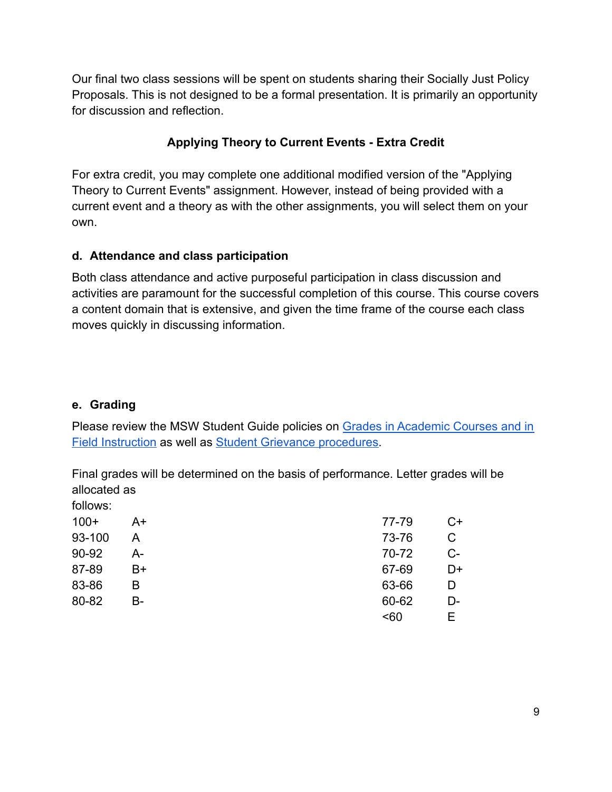Our final two class sessions will be spent on students sharing their Socially Just Policy Proposals. This is not designed to be a formal presentation. It is primarily an opportunity for discussion and reflection.

# **Applying Theory to Current Events - Extra Credit**

For extra credit, you may complete one additional modified version of the "Applying Theory to Current Events" assignment. However, instead of being provided with a current event and a theory as with the other assignments, you will select them on your own.

## **d. Attendance and class participation**

Both class attendance and active purposeful participation in class discussion and activities are paramount for the successful completion of this course. This course covers a content domain that is extensive, and given the time frame of the course each class moves quickly in discussing information.

## **e. Grading**

Please review the MSW Student Guide policies on Grades [in Academic Courses and in](http://ssw.umich.edu/msw-student-guide/chapter/1.08/grades-in-academic-courses-and-in-field-instruction) [Field Instruction](http://ssw.umich.edu/msw-student-guide/chapter/1.08/grades-in-academic-courses-and-in-field-instruction) as well as [Student Grievance procedures.](http://ssw.umich.edu/msw-student-guide/chapter/1.18/student-grievances)

Final grades will be determined on the basis of performance. Letter grades will be allocated as follows:

| $100+$ | A+ | 77-79 | $C+$ |
|--------|----|-------|------|
| 93-100 | А  | 73-76 | C    |
| 90-92  | А- | 70-72 | $C-$ |
| 87-89  | B+ | 67-69 | D+   |
| 83-86  | В  | 63-66 | D    |
| 80-82  | B- | 60-62 | D-   |
|        |    | < 60  | F    |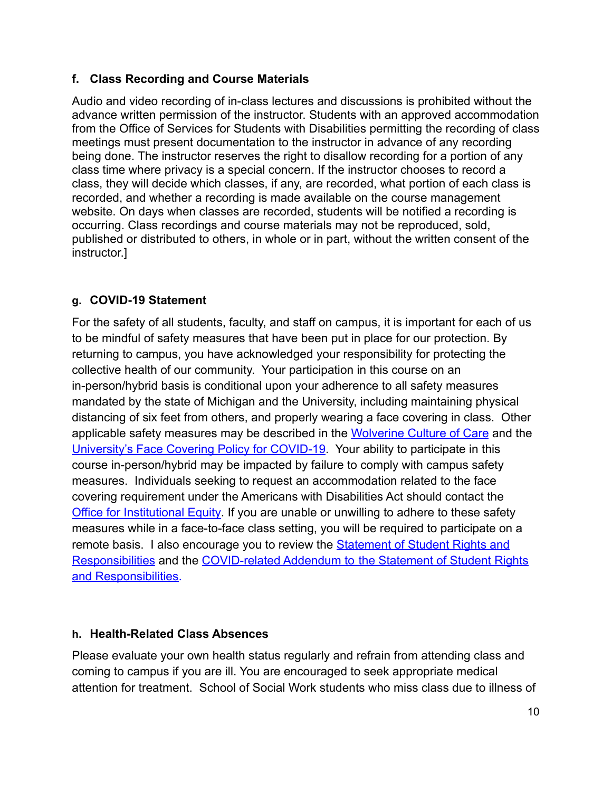## **f. Class Recording and Course Materials**

Audio and video recording of in-class lectures and discussions is prohibited without the advance written permission of the instructor. Students with an approved accommodation from the Office of Services for Students with Disabilities permitting the recording of class meetings must present documentation to the instructor in advance of any recording being done. The instructor reserves the right to disallow recording for a portion of any class time where privacy is a special concern. If the instructor chooses to record a class, they will decide which classes, if any, are recorded, what portion of each class is recorded, and whether a recording is made available on the course management website. On days when classes are recorded, students will be notified a recording is occurring. Class recordings and course materials may not be reproduced, sold, published or distributed to others, in whole or in part, without the written consent of the instructor.]

# **g. COVID-19 Statement**

For the safety of all students, faculty, and staff on campus, it is important for each of us to be mindful of safety measures that have been put in place for our protection. By returning to campus, you have acknowledged your responsibility for protecting the collective health of our community. Your participation in this course on an in-person/hybrid basis is conditional upon your adherence to all safety measures mandated by the state of Michigan and the University, including maintaining physical distancing of six feet from others, and properly wearing a face covering in class. Other applicable safety measures may be described in the [Wolverine Culture of Care](https://campusblueprint.umich.edu/uploads/Wolverine_Culture_of_Care%20sign_8.5x11_UPDATED_071520.pdf) and the [University's Face Covering Policy for COVID-19.](http://ehs.umich.edu/wp-content/uploads/2020/07/U-M-Face-Covering-Policy-for-COVID-19.pdf) Your ability to participate in this course in-person/hybrid may be impacted by failure to comply with campus safety measures. Individuals seeking to request an accommodation related to the face covering requirement under the Americans with Disabilities Act should contact the [Office for Institutional Equity](https://oie.umich.edu/american-with-disabilities-act-ada/). If you are unable or unwilling to adhere to these safety measures while in a face-to-face class setting, you will be required to participate on a remote basis. I also encourage you to review the **[Statement of Student Rights and](https://oscr.umich.edu/statement#1)** [Responsibilities](https://oscr.umich.edu/statement#1) and the COVID-related Addendum to [the Statement of Student Rights](https://oscr.umich.edu/sites/oscr.umich.edu/files/2020_statement_addendum_final_approved.pdf) [and Responsibilities.](https://oscr.umich.edu/sites/oscr.umich.edu/files/2020_statement_addendum_final_approved.pdf)

## **h. Health-Related Class Absences**

Please evaluate your own health status regularly and refrain from attending class and coming to campus if you are ill. You are encouraged to seek appropriate medical attention for treatment. School of Social Work students who miss class due to illness of